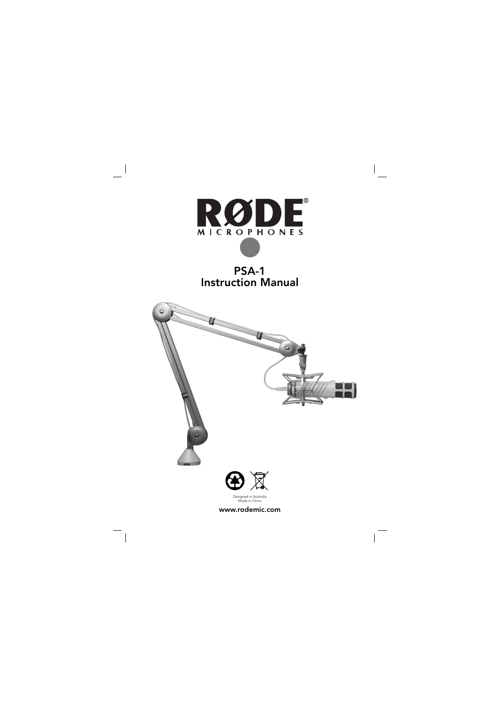

# PSA-1 Instruction Manual





Designed in Australia Made in China

www.rodemic.com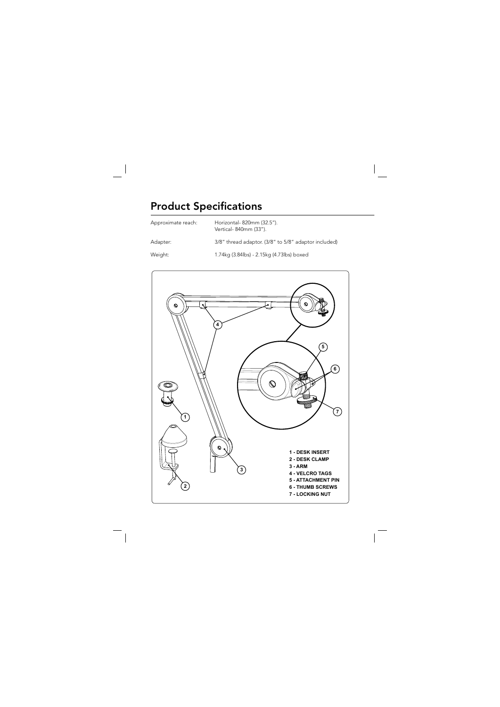# **Product Specifications**

| Approximate reach: | Horizontal-820mm (32.5").<br>Vertical-840mm (33").   |
|--------------------|------------------------------------------------------|
| Adapter:           | 3/8" thread adaptor. (3/8" to 5/8" adaptor included) |
| Weight:            | 1.74kg (3.84lbs) - 2.15kg (4.73lbs) boxed            |

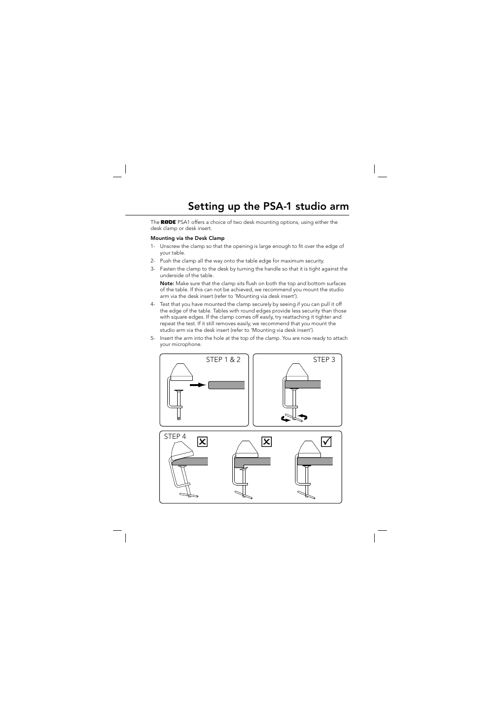# Setting up the PSA-1 studio arm

The RODE PSA1 offers a choice of two desk mounting options, using either the desk clamp or desk insert.

## Mounting via the Desk Clamp

- 1- Unscrew the clamp so that the opening is large enough to fit over the edge of your table.
- 2- Push the clamp all the way onto the table edge for maximum security.
- 3- Fasten the clamp to the desk by turning the handle so that it is tight against the underside of the table.

Note: Make sure that the clamp sits flush on both the top and bottom surfaces of the table. If this can not be achieved, we recommend you mount the studio arm via the desk insert (refer to 'Mounting via desk insert').

- 4- Test that you have mounted the clamp securely by seeing if you can pull it off the edge of the table. Tables with round edges provide less security than those with square edges. If the clamp comes off easily, try reattaching it tighter and repeat the test. If it still removes easily, we recommend that you mount the studio arm via the desk insert (refer to 'Mounting via desk insert').
- 5- Insert the arm into the hole at the top of the clamp. You are now ready to attach your microphone.